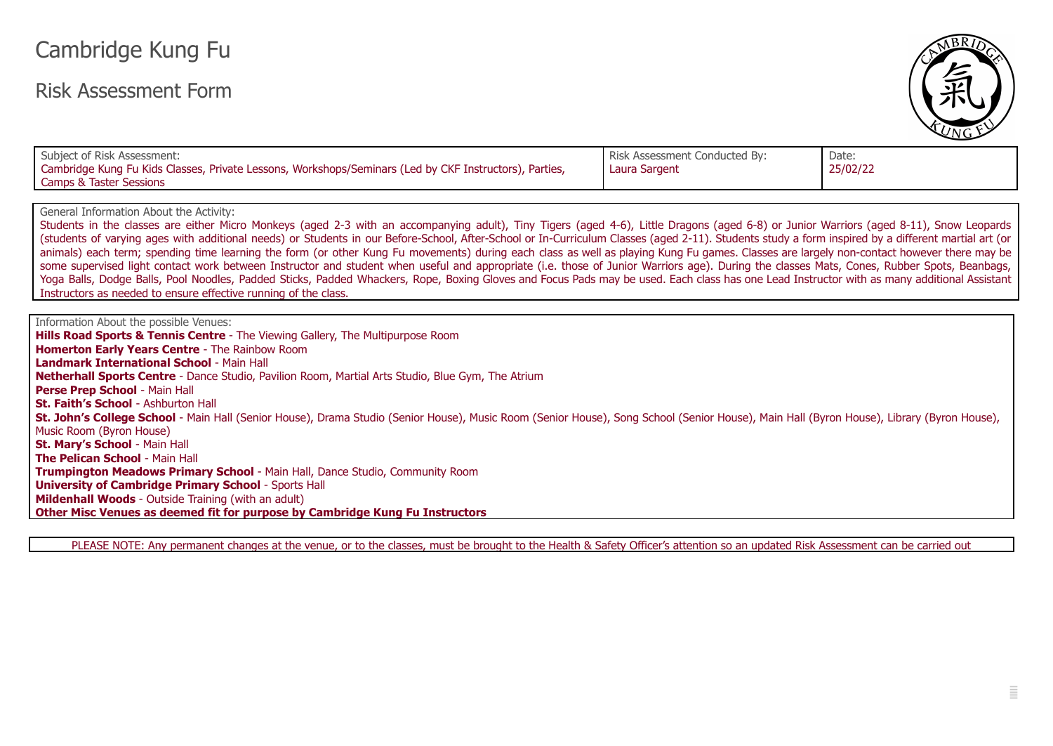## Cambridge Kung Fu

## Risk Assessment Form



| Subject of Risk Assessment:<br>Cambridge Kung Fu Kids Classes, Private Lessons, Workshops/Seminars (Led by CKF Instructors), Parties,<br>Camps & Taster Sessions | Risk Assessment Conducted By:<br>' Laura Sargent | Date:<br>25/02/22 |
|------------------------------------------------------------------------------------------------------------------------------------------------------------------|--------------------------------------------------|-------------------|
|------------------------------------------------------------------------------------------------------------------------------------------------------------------|--------------------------------------------------|-------------------|

General Information About the Activity:

Students in the classes are either Micro Monkeys (aged 2-3 with an accompanying adult), Tiny Tigers (aged 4-6), Little Dragons (aged 6-8) or Junior Warriors (aged 8-11), Snow Leopards (students of varying ages with additional needs) or Students in our Before-School, After-School or In-Curriculum Classes (aged 2-11). Students study a form inspired by a different martial art (or animals) each term; spending time learning the form (or other Kung Fu movements) during each class as well as playing Kung Fu games. Classes are largely non-contact however there may be some supervised light contact work between Instructor and student when useful and appropriate (i.e. those of Junior Warriors age). During the classes Mats, Cones, Rubber Spots, Beanbags, Yoga Balls, Dodge Balls, Pool Noodles, Padded Sticks, Padded Whackers, Rope, Boxing Gloves and Focus Pads may be used. Each class has one Lead Instructor with as many additional Assistant Instructors as needed to ensure effective running of the class.

Information About the possible Venues: **Hills Road Sports & Tennis Centre** - The Viewing Gallery, The Multipurpose Room **Homerton Early Years Centre** - The Rainbow Room **Landmark International School** - Main Hall **Netherhall Sports Centre** - Dance Studio, Pavilion Room, Martial Arts Studio, Blue Gym, The Atrium **Perse Prep School** - Main Hall **St. Faith's School** - Ashburton Hall **St. John's College School** - Main Hall (Senior House), Drama Studio (Senior House), Music Room (Senior House), Song School (Senior House), Main Hall (Byron House), Library (Byron House), Music Room (Byron House) **St. Mary's School** - Main Hall **The Pelican School** - Main Hall **Trumpington Meadows Primary School** - Main Hall, Dance Studio, Community Room **University of Cambridge Primary School** - Sports Hall **Mildenhall Woods** - Outside Training (with an adult) **Other Misc Venues as deemed fit for purpose by Cambridge Kung Fu Instructors**

PLEASE NOTE: Any permanent changes at the venue, or to the classes, must be brought to the Health & Safety Officer's attention so an updated Risk Assessment can be carried out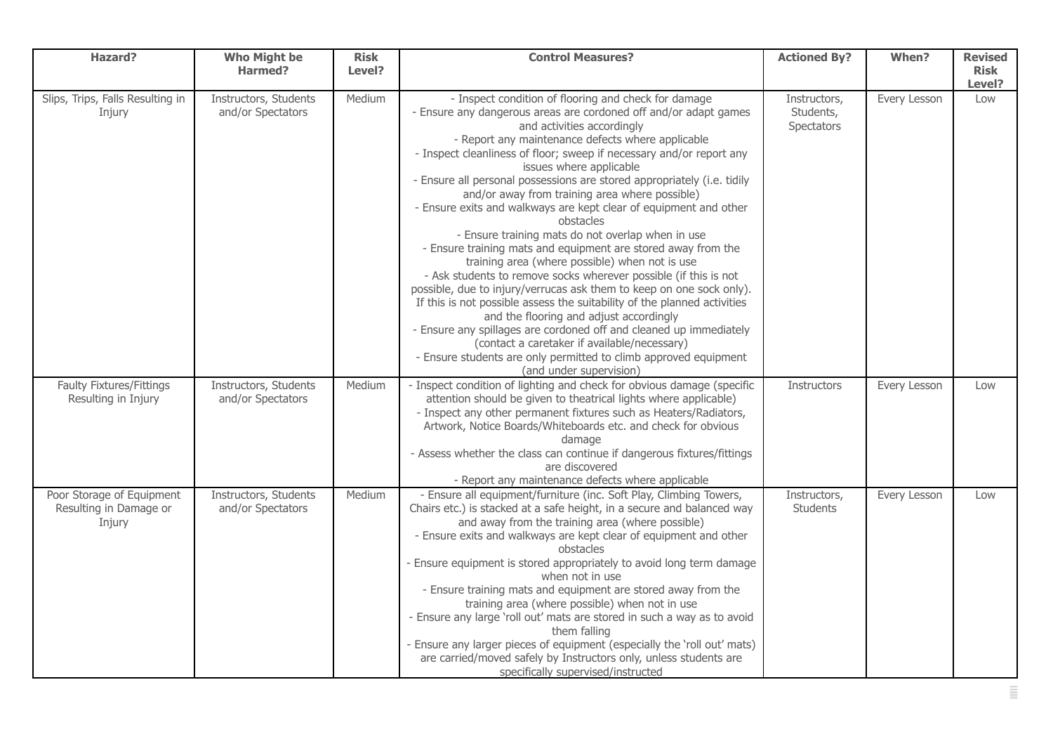| <b>Hazard?</b>                                                | <b>Who Might be</b><br>Harmed?             | <b>Risk</b><br>Level? | <b>Control Measures?</b>                                                                                                                                                                                                                                                                                                                                                                                                                                                                                                                                                                                                                                                                                                                                                                                                                                                                                                                                                                                                                                                                                                                                                                      | <b>Actioned By?</b>                     | When?        | <b>Revised</b><br><b>Risk</b> |
|---------------------------------------------------------------|--------------------------------------------|-----------------------|-----------------------------------------------------------------------------------------------------------------------------------------------------------------------------------------------------------------------------------------------------------------------------------------------------------------------------------------------------------------------------------------------------------------------------------------------------------------------------------------------------------------------------------------------------------------------------------------------------------------------------------------------------------------------------------------------------------------------------------------------------------------------------------------------------------------------------------------------------------------------------------------------------------------------------------------------------------------------------------------------------------------------------------------------------------------------------------------------------------------------------------------------------------------------------------------------|-----------------------------------------|--------------|-------------------------------|
|                                                               |                                            |                       |                                                                                                                                                                                                                                                                                                                                                                                                                                                                                                                                                                                                                                                                                                                                                                                                                                                                                                                                                                                                                                                                                                                                                                                               |                                         |              | Level?                        |
| Slips, Trips, Falls Resulting in<br>Injury                    | Instructors, Students<br>and/or Spectators | Medium                | - Inspect condition of flooring and check for damage<br>- Ensure any dangerous areas are cordoned off and/or adapt games<br>and activities accordingly<br>- Report any maintenance defects where applicable<br>- Inspect cleanliness of floor; sweep if necessary and/or report any<br>issues where applicable<br>- Ensure all personal possessions are stored appropriately (i.e. tidily<br>and/or away from training area where possible)<br>- Ensure exits and walkways are kept clear of equipment and other<br>obstacles<br>- Ensure training mats do not overlap when in use<br>- Ensure training mats and equipment are stored away from the<br>training area (where possible) when not is use<br>- Ask students to remove socks wherever possible (if this is not<br>possible, due to injury/verrucas ask them to keep on one sock only).<br>If this is not possible assess the suitability of the planned activities<br>and the flooring and adjust accordingly<br>- Ensure any spillages are cordoned off and cleaned up immediately<br>(contact a caretaker if available/necessary)<br>- Ensure students are only permitted to climb approved equipment<br>(and under supervision) | Instructors,<br>Students,<br>Spectators | Every Lesson | Low                           |
| <b>Faulty Fixtures/Fittings</b><br>Resulting in Injury        | Instructors, Students<br>and/or Spectators | Medium                | - Inspect condition of lighting and check for obvious damage (specific<br>attention should be given to theatrical lights where applicable)<br>- Inspect any other permanent fixtures such as Heaters/Radiators,<br>Artwork, Notice Boards/Whiteboards etc. and check for obvious<br>damage<br>- Assess whether the class can continue if dangerous fixtures/fittings<br>are discovered<br>- Report any maintenance defects where applicable                                                                                                                                                                                                                                                                                                                                                                                                                                                                                                                                                                                                                                                                                                                                                   | Instructors                             | Every Lesson | Low                           |
| Poor Storage of Equipment<br>Resulting in Damage or<br>Injury | Instructors, Students<br>and/or Spectators | Medium                | - Ensure all equipment/furniture (inc. Soft Play, Climbing Towers,<br>Chairs etc.) is stacked at a safe height, in a secure and balanced way<br>and away from the training area (where possible)<br>- Ensure exits and walkways are kept clear of equipment and other<br>obstacles<br>- Ensure equipment is stored appropriately to avoid long term damage<br>when not in use<br>- Ensure training mats and equipment are stored away from the<br>training area (where possible) when not in use<br>- Ensure any large 'roll out' mats are stored in such a way as to avoid<br>them falling<br>- Ensure any larger pieces of equipment (especially the 'roll out' mats)<br>are carried/moved safely by Instructors only, unless students are<br>specifically supervised/instructed                                                                                                                                                                                                                                                                                                                                                                                                            | Instructors,<br>Students                | Every Lesson | Low                           |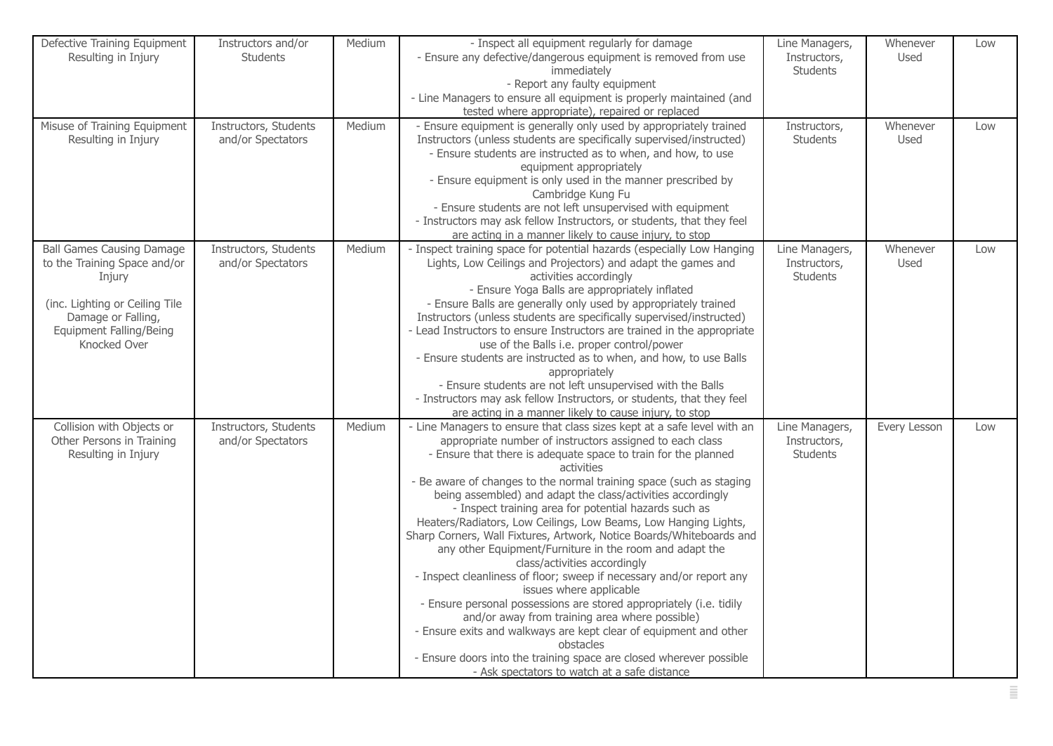| Defective Training Equipment<br>Resulting in Injury                                                                                                                                  | Instructors and/or<br><b>Students</b>      | Medium | - Inspect all equipment regularly for damage<br>- Ensure any defective/dangerous equipment is removed from use<br>immediately<br>- Report any faulty equipment<br>- Line Managers to ensure all equipment is properly maintained (and<br>tested where appropriate), repaired or replaced                                                                                                                                                                                                                                                                                                                                                                                                                                                                                                                                                                                                                                                                                                                                                                                                      | Line Managers,<br>Instructors,<br><b>Students</b> | Whenever<br>Used | Low |
|--------------------------------------------------------------------------------------------------------------------------------------------------------------------------------------|--------------------------------------------|--------|-----------------------------------------------------------------------------------------------------------------------------------------------------------------------------------------------------------------------------------------------------------------------------------------------------------------------------------------------------------------------------------------------------------------------------------------------------------------------------------------------------------------------------------------------------------------------------------------------------------------------------------------------------------------------------------------------------------------------------------------------------------------------------------------------------------------------------------------------------------------------------------------------------------------------------------------------------------------------------------------------------------------------------------------------------------------------------------------------|---------------------------------------------------|------------------|-----|
| Misuse of Training Equipment<br>Resulting in Injury                                                                                                                                  | Instructors, Students<br>and/or Spectators | Medium | - Ensure equipment is generally only used by appropriately trained<br>Instructors (unless students are specifically supervised/instructed)<br>- Ensure students are instructed as to when, and how, to use<br>equipment appropriately<br>- Ensure equipment is only used in the manner prescribed by<br>Cambridge Kung Fu<br>- Ensure students are not left unsupervised with equipment<br>- Instructors may ask fellow Instructors, or students, that they feel<br>are acting in a manner likely to cause injury, to stop                                                                                                                                                                                                                                                                                                                                                                                                                                                                                                                                                                    | Instructors,<br><b>Students</b>                   | Whenever<br>Used | Low |
| <b>Ball Games Causing Damage</b><br>to the Training Space and/or<br>Injury<br>(inc. Lighting or Ceiling Tile<br>Damage or Falling,<br><b>Equipment Falling/Being</b><br>Knocked Over | Instructors, Students<br>and/or Spectators | Medium | - Inspect training space for potential hazards (especially Low Hanging<br>Lights, Low Ceilings and Projectors) and adapt the games and<br>activities accordingly<br>- Ensure Yoga Balls are appropriately inflated<br>- Ensure Balls are generally only used by appropriately trained<br>Instructors (unless students are specifically supervised/instructed)<br>- Lead Instructors to ensure Instructors are trained in the appropriate<br>use of the Balls i.e. proper control/power<br>- Ensure students are instructed as to when, and how, to use Balls<br>appropriately<br>- Ensure students are not left unsupervised with the Balls<br>- Instructors may ask fellow Instructors, or students, that they feel<br>are acting in a manner likely to cause injury, to stop                                                                                                                                                                                                                                                                                                                | Line Managers,<br>Instructors,<br><b>Students</b> | Whenever<br>Used | Low |
| Collision with Objects or<br>Other Persons in Training<br>Resulting in Injury                                                                                                        | Instructors, Students<br>and/or Spectators | Medium | - Line Managers to ensure that class sizes kept at a safe level with an<br>appropriate number of instructors assigned to each class<br>- Ensure that there is adequate space to train for the planned<br>activities<br>- Be aware of changes to the normal training space (such as staging<br>being assembled) and adapt the class/activities accordingly<br>- Inspect training area for potential hazards such as<br>Heaters/Radiators, Low Ceilings, Low Beams, Low Hanging Lights,<br>Sharp Corners, Wall Fixtures, Artwork, Notice Boards/Whiteboards and<br>any other Equipment/Furniture in the room and adapt the<br>class/activities accordingly<br>- Inspect cleanliness of floor; sweep if necessary and/or report any<br>issues where applicable<br>- Ensure personal possessions are stored appropriately (i.e. tidily<br>and/or away from training area where possible)<br>- Ensure exits and walkways are kept clear of equipment and other<br>obstacles<br>- Ensure doors into the training space are closed wherever possible<br>- Ask spectators to watch at a safe distance | Line Managers,<br>Instructors,<br><b>Students</b> | Every Lesson     | Low |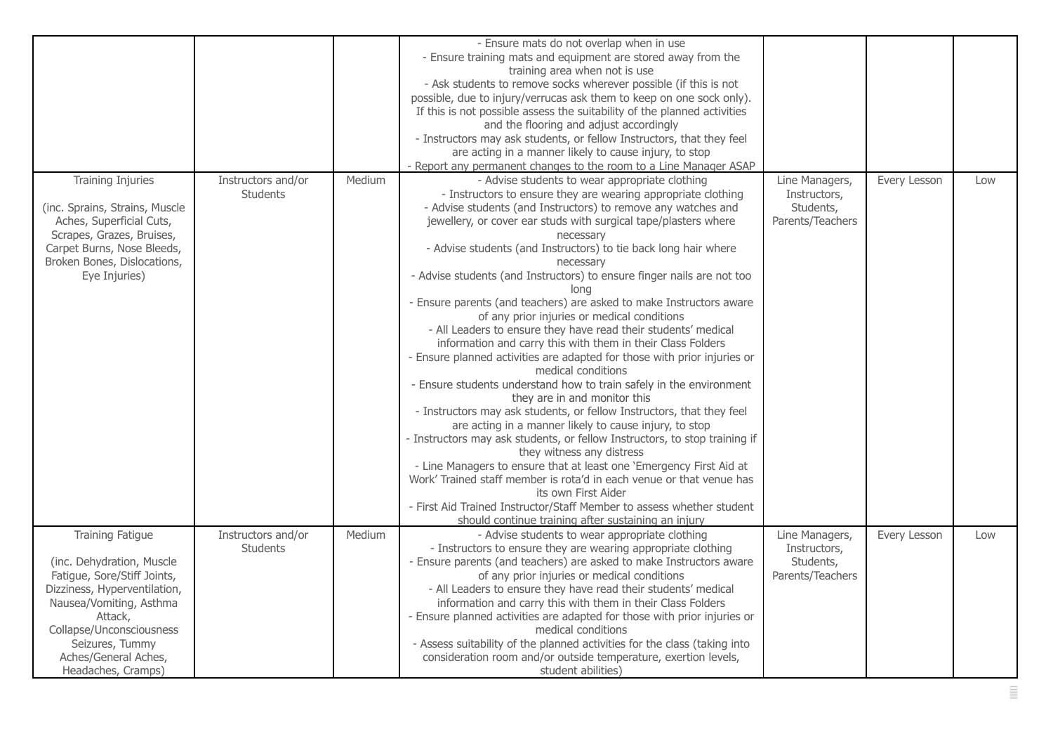|                                                                                                                                                                                                                                                 |                                       |        | - Ensure mats do not overlap when in use<br>- Ensure training mats and equipment are stored away from the<br>training area when not is use<br>- Ask students to remove socks wherever possible (if this is not<br>possible, due to injury/verrucas ask them to keep on one sock only).<br>If this is not possible assess the suitability of the planned activities<br>and the flooring and adjust accordingly<br>- Instructors may ask students, or fellow Instructors, that they feel<br>are acting in a manner likely to cause injury, to stop<br>- Report any permanent changes to the room to a Line Manager ASAP                                                                                                                                                                                                                                                                                                                                                                                                                                                                                                                                                                                                                                                                                                                                                                                                                                  |                                                                 |              |     |
|-------------------------------------------------------------------------------------------------------------------------------------------------------------------------------------------------------------------------------------------------|---------------------------------------|--------|--------------------------------------------------------------------------------------------------------------------------------------------------------------------------------------------------------------------------------------------------------------------------------------------------------------------------------------------------------------------------------------------------------------------------------------------------------------------------------------------------------------------------------------------------------------------------------------------------------------------------------------------------------------------------------------------------------------------------------------------------------------------------------------------------------------------------------------------------------------------------------------------------------------------------------------------------------------------------------------------------------------------------------------------------------------------------------------------------------------------------------------------------------------------------------------------------------------------------------------------------------------------------------------------------------------------------------------------------------------------------------------------------------------------------------------------------------|-----------------------------------------------------------------|--------------|-----|
| <b>Training Injuries</b><br>(inc. Sprains, Strains, Muscle<br>Aches, Superficial Cuts,<br>Scrapes, Grazes, Bruises,<br>Carpet Burns, Nose Bleeds,<br>Broken Bones, Dislocations,<br>Eye Injuries)                                               | Instructors and/or<br><b>Students</b> | Medium | - Advise students to wear appropriate clothing<br>- Instructors to ensure they are wearing appropriate clothing<br>- Advise students (and Instructors) to remove any watches and<br>jewellery, or cover ear studs with surgical tape/plasters where<br>necessary<br>- Advise students (and Instructors) to tie back long hair where<br>necessary<br>- Advise students (and Instructors) to ensure finger nails are not too<br>long<br>- Ensure parents (and teachers) are asked to make Instructors aware<br>of any prior injuries or medical conditions<br>- All Leaders to ensure they have read their students' medical<br>information and carry this with them in their Class Folders<br>- Ensure planned activities are adapted for those with prior injuries or<br>medical conditions<br>- Ensure students understand how to train safely in the environment<br>they are in and monitor this<br>- Instructors may ask students, or fellow Instructors, that they feel<br>are acting in a manner likely to cause injury, to stop<br>- Instructors may ask students, or fellow Instructors, to stop training if<br>they witness any distress<br>- Line Managers to ensure that at least one 'Emergency First Aid at<br>Work' Trained staff member is rota'd in each venue or that venue has<br>its own First Aider<br>- First Aid Trained Instructor/Staff Member to assess whether student<br>should continue training after sustaining an injury | Line Managers,<br>Instructors,<br>Students,<br>Parents/Teachers | Every Lesson | Low |
| Training Fatigue<br>(inc. Dehydration, Muscle<br>Fatigue, Sore/Stiff Joints,<br>Dizziness, Hyperventilation,<br>Nausea/Vomiting, Asthma<br>Attack,<br>Collapse/Unconsciousness<br>Seizures, Tummy<br>Aches/General Aches,<br>Headaches, Cramps) | Instructors and/or<br><b>Students</b> | Medium | - Advise students to wear appropriate clothing<br>- Instructors to ensure they are wearing appropriate clothing<br>- Ensure parents (and teachers) are asked to make Instructors aware<br>of any prior injuries or medical conditions<br>- All Leaders to ensure they have read their students' medical<br>information and carry this with them in their Class Folders<br>- Ensure planned activities are adapted for those with prior injuries or<br>medical conditions<br>- Assess suitability of the planned activities for the class (taking into<br>consideration room and/or outside temperature, exertion levels,<br>student abilities)                                                                                                                                                                                                                                                                                                                                                                                                                                                                                                                                                                                                                                                                                                                                                                                                         | Line Managers,<br>Instructors,<br>Students,<br>Parents/Teachers | Every Lesson | Low |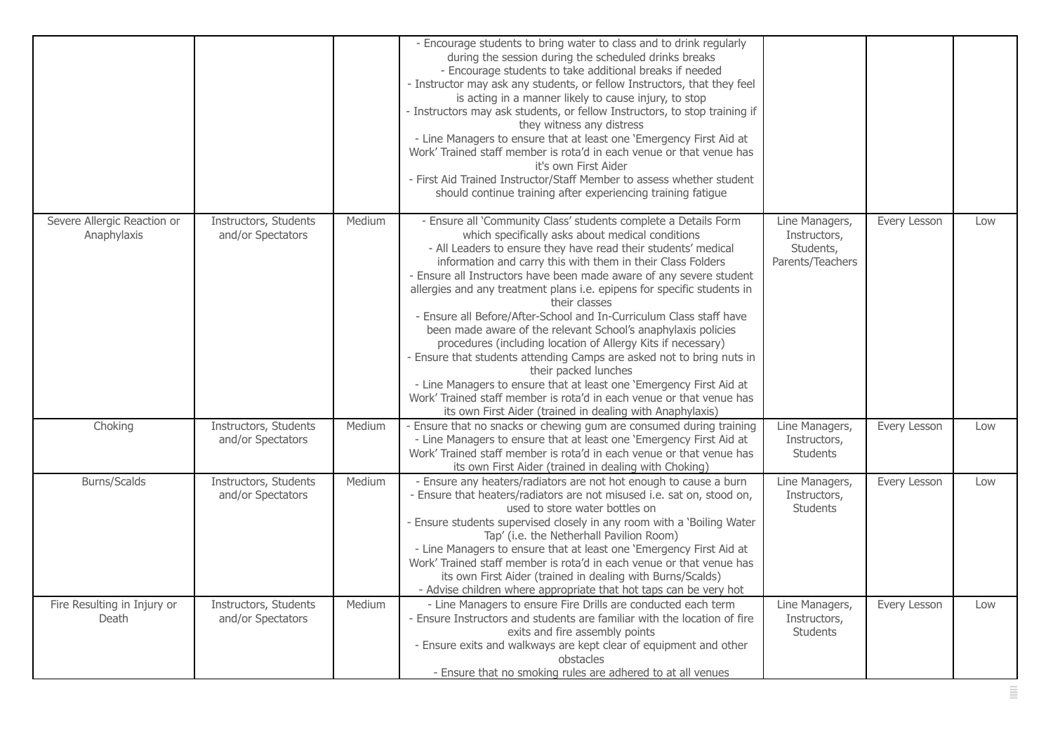|                                            |                                            |        | - Encourage students to bring water to class and to drink regularly<br>during the session during the scheduled drinks breaks<br>- Encourage students to take additional breaks if needed<br>- Instructor may ask any students, or fellow Instructors, that they feel<br>is acting in a manner likely to cause injury, to stop<br>- Instructors may ask students, or fellow Instructors, to stop training if<br>they witness any distress<br>- Line Managers to ensure that at least one 'Emergency First Aid at<br>Work' Trained staff member is rota'd in each venue or that venue has<br>it's own First Aider<br>- First Aid Trained Instructor/Staff Member to assess whether student<br>should continue training after experiencing training fatigue                                                                                                                                                                                     |                                                                 |              |     |
|--------------------------------------------|--------------------------------------------|--------|----------------------------------------------------------------------------------------------------------------------------------------------------------------------------------------------------------------------------------------------------------------------------------------------------------------------------------------------------------------------------------------------------------------------------------------------------------------------------------------------------------------------------------------------------------------------------------------------------------------------------------------------------------------------------------------------------------------------------------------------------------------------------------------------------------------------------------------------------------------------------------------------------------------------------------------------|-----------------------------------------------------------------|--------------|-----|
| Severe Allergic Reaction or<br>Anaphylaxis | Instructors, Students<br>and/or Spectators | Medium | - Ensure all 'Community Class' students complete a Details Form<br>which specifically asks about medical conditions<br>- All Leaders to ensure they have read their students' medical<br>information and carry this with them in their Class Folders<br>- Ensure all Instructors have been made aware of any severe student<br>allergies and any treatment plans i.e. epipens for specific students in<br>their classes<br>- Ensure all Before/After-School and In-Curriculum Class staff have<br>been made aware of the relevant School's anaphylaxis policies<br>procedures (including location of Allergy Kits if necessary)<br>- Ensure that students attending Camps are asked not to bring nuts in<br>their packed lunches<br>- Line Managers to ensure that at least one 'Emergency First Aid at<br>Work' Trained staff member is rota'd in each venue or that venue has<br>its own First Aider (trained in dealing with Anaphylaxis) | Line Managers,<br>Instructors,<br>Students,<br>Parents/Teachers | Every Lesson | Low |
| Choking                                    | Instructors, Students<br>and/or Spectators | Medium | - Ensure that no snacks or chewing gum are consumed during training<br>- Line Managers to ensure that at least one 'Emergency First Aid at<br>Work' Trained staff member is rota'd in each venue or that venue has<br>its own First Aider (trained in dealing with Choking)                                                                                                                                                                                                                                                                                                                                                                                                                                                                                                                                                                                                                                                                  | Line Managers,<br>Instructors,<br><b>Students</b>               | Every Lesson | Low |
| Burns/Scalds                               | Instructors, Students<br>and/or Spectators | Medium | - Ensure any heaters/radiators are not hot enough to cause a burn<br>- Ensure that heaters/radiators are not misused i.e. sat on, stood on,<br>used to store water bottles on<br>- Ensure students supervised closely in any room with a 'Boiling Water<br>Tap' (i.e. the Netherhall Pavilion Room)<br>- Line Managers to ensure that at least one 'Emergency First Aid at<br>Work' Trained staff member is rota'd in each venue or that venue has<br>its own First Aider (trained in dealing with Burns/Scalds)<br>- Advise children where appropriate that hot taps can be very hot                                                                                                                                                                                                                                                                                                                                                        | Line Managers,<br>Instructors,<br><b>Students</b>               | Every Lesson | Low |
| Fire Resulting in Injury or<br>Death       | Instructors, Students<br>and/or Spectators | Medium | - Line Managers to ensure Fire Drills are conducted each term<br>- Ensure Instructors and students are familiar with the location of fire<br>exits and fire assembly points<br>- Ensure exits and walkways are kept clear of equipment and other<br>obstacles<br>- Ensure that no smoking rules are adhered to at all venues                                                                                                                                                                                                                                                                                                                                                                                                                                                                                                                                                                                                                 | Line Managers,<br>Instructors,<br><b>Students</b>               | Every Lesson | Low |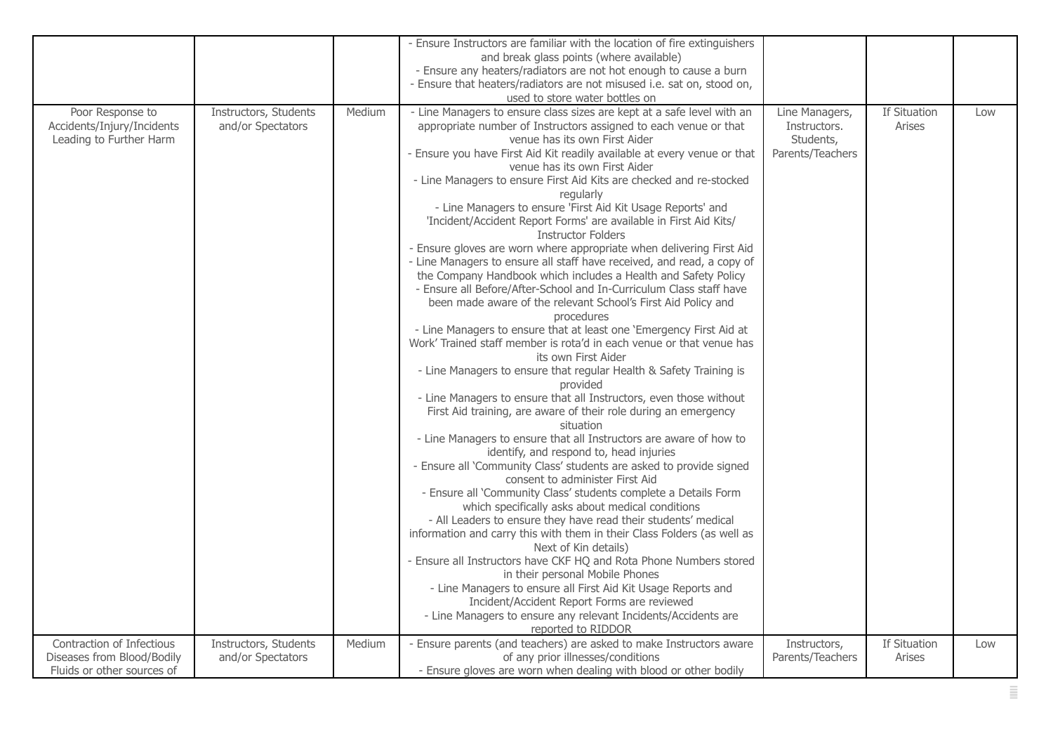|                            |                       |        | - Ensure Instructors are familiar with the location of fire extinguishers                                           |                                |              |     |
|----------------------------|-----------------------|--------|---------------------------------------------------------------------------------------------------------------------|--------------------------------|--------------|-----|
|                            |                       |        | and break glass points (where available)                                                                            |                                |              |     |
|                            |                       |        | - Ensure any heaters/radiators are not hot enough to cause a burn                                                   |                                |              |     |
|                            |                       |        | - Ensure that heaters/radiators are not misused i.e. sat on, stood on,                                              |                                |              |     |
| Poor Response to           | Instructors, Students | Medium | used to store water bottles on<br>- Line Managers to ensure class sizes are kept at a safe level with an            |                                | If Situation |     |
| Accidents/Injury/Incidents | and/or Spectators     |        | appropriate number of Instructors assigned to each venue or that                                                    | Line Managers,<br>Instructors. | Arises       | Low |
| Leading to Further Harm    |                       |        | venue has its own First Aider                                                                                       | Students,                      |              |     |
|                            |                       |        | - Ensure you have First Aid Kit readily available at every venue or that                                            | Parents/Teachers               |              |     |
|                            |                       |        | venue has its own First Aider                                                                                       |                                |              |     |
|                            |                       |        | - Line Managers to ensure First Aid Kits are checked and re-stocked                                                 |                                |              |     |
|                            |                       |        | regularly                                                                                                           |                                |              |     |
|                            |                       |        | - Line Managers to ensure 'First Aid Kit Usage Reports' and                                                         |                                |              |     |
|                            |                       |        | 'Incident/Accident Report Forms' are available in First Aid Kits/                                                   |                                |              |     |
|                            |                       |        | <b>Instructor Folders</b>                                                                                           |                                |              |     |
|                            |                       |        | - Ensure gloves are worn where appropriate when delivering First Aid                                                |                                |              |     |
|                            |                       |        | - Line Managers to ensure all staff have received, and read, a copy of                                              |                                |              |     |
|                            |                       |        | the Company Handbook which includes a Health and Safety Policy                                                      |                                |              |     |
|                            |                       |        | - Ensure all Before/After-School and In-Curriculum Class staff have                                                 |                                |              |     |
|                            |                       |        | been made aware of the relevant School's First Aid Policy and<br>procedures                                         |                                |              |     |
|                            |                       |        | - Line Managers to ensure that at least one 'Emergency First Aid at                                                 |                                |              |     |
|                            |                       |        | Work' Trained staff member is rota'd in each venue or that venue has                                                |                                |              |     |
|                            |                       |        | its own First Aider                                                                                                 |                                |              |     |
|                            |                       |        | - Line Managers to ensure that regular Health & Safety Training is                                                  |                                |              |     |
|                            |                       |        | provided                                                                                                            |                                |              |     |
|                            |                       |        | - Line Managers to ensure that all Instructors, even those without                                                  |                                |              |     |
|                            |                       |        | First Aid training, are aware of their role during an emergency                                                     |                                |              |     |
|                            |                       |        | situation                                                                                                           |                                |              |     |
|                            |                       |        | - Line Managers to ensure that all Instructors are aware of how to                                                  |                                |              |     |
|                            |                       |        | identify, and respond to, head injuries                                                                             |                                |              |     |
|                            |                       |        | - Ensure all 'Community Class' students are asked to provide signed                                                 |                                |              |     |
|                            |                       |        | consent to administer First Aid                                                                                     |                                |              |     |
|                            |                       |        | - Ensure all 'Community Class' students complete a Details Form<br>which specifically asks about medical conditions |                                |              |     |
|                            |                       |        | - All Leaders to ensure they have read their students' medical                                                      |                                |              |     |
|                            |                       |        | information and carry this with them in their Class Folders (as well as                                             |                                |              |     |
|                            |                       |        | Next of Kin details)                                                                                                |                                |              |     |
|                            |                       |        | - Ensure all Instructors have CKF HQ and Rota Phone Numbers stored                                                  |                                |              |     |
|                            |                       |        | in their personal Mobile Phones                                                                                     |                                |              |     |
|                            |                       |        | - Line Managers to ensure all First Aid Kit Usage Reports and                                                       |                                |              |     |
|                            |                       |        | Incident/Accident Report Forms are reviewed                                                                         |                                |              |     |
|                            |                       |        | - Line Managers to ensure any relevant Incidents/Accidents are                                                      |                                |              |     |
|                            |                       |        | reported to RIDDOR                                                                                                  |                                |              |     |
| Contraction of Infectious  | Instructors, Students | Medium | - Ensure parents (and teachers) are asked to make Instructors aware                                                 | Instructors,                   | If Situation | Low |
| Diseases from Blood/Bodily | and/or Spectators     |        | of any prior illnesses/conditions                                                                                   | Parents/Teachers               | Arises       |     |
| Fluids or other sources of |                       |        | - Ensure gloves are worn when dealing with blood or other bodily                                                    |                                |              |     |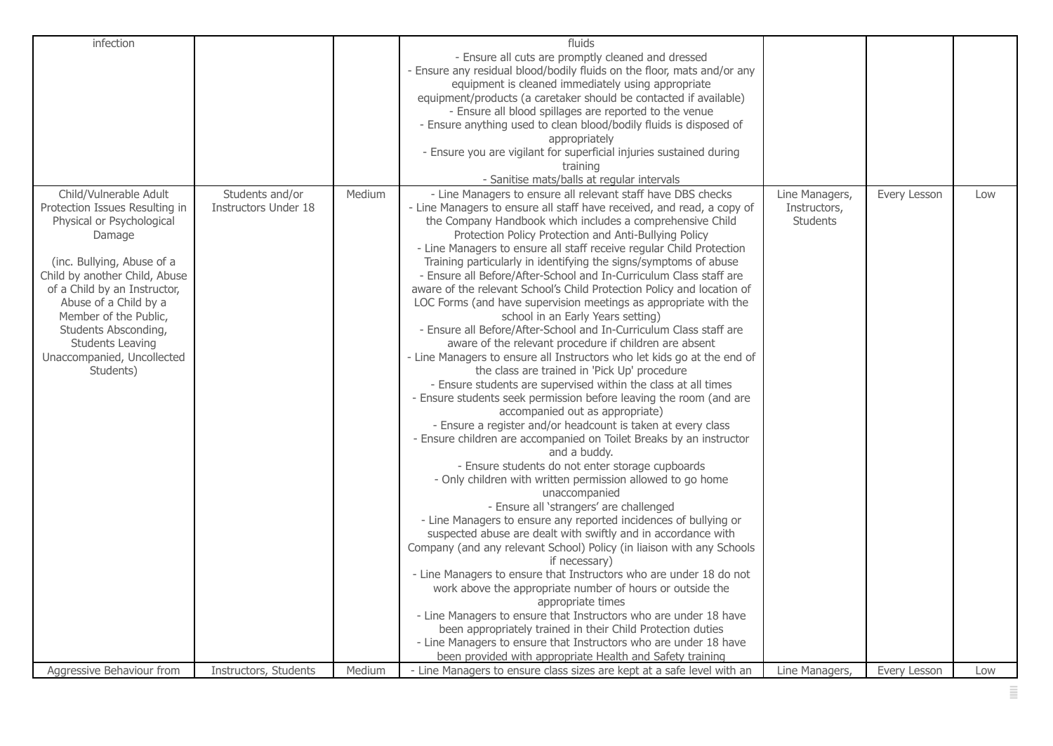| infection                                                                                                                                                                                                                                                                                                                               |                                         |        | fluids<br>- Ensure all cuts are promptly cleaned and dressed<br>- Ensure any residual blood/bodily fluids on the floor, mats and/or any<br>equipment is cleaned immediately using appropriate<br>equipment/products (a caretaker should be contacted if available)<br>- Ensure all blood spillages are reported to the venue<br>- Ensure anything used to clean blood/bodily fluids is disposed of<br>appropriately<br>- Ensure you are vigilant for superficial injuries sustained during<br>training<br>- Sanitise mats/balls at regular intervals                                                                                                                                                                                                                                                                                                                                                                                                                                                                                                                                                                                                                                                                                                                                                                                                                                                                                                                                                                                                                                                                                                                                                                                                                                                                                                                                                                                                                                                                                                                                                    |                                                   |              |     |
|-----------------------------------------------------------------------------------------------------------------------------------------------------------------------------------------------------------------------------------------------------------------------------------------------------------------------------------------|-----------------------------------------|--------|---------------------------------------------------------------------------------------------------------------------------------------------------------------------------------------------------------------------------------------------------------------------------------------------------------------------------------------------------------------------------------------------------------------------------------------------------------------------------------------------------------------------------------------------------------------------------------------------------------------------------------------------------------------------------------------------------------------------------------------------------------------------------------------------------------------------------------------------------------------------------------------------------------------------------------------------------------------------------------------------------------------------------------------------------------------------------------------------------------------------------------------------------------------------------------------------------------------------------------------------------------------------------------------------------------------------------------------------------------------------------------------------------------------------------------------------------------------------------------------------------------------------------------------------------------------------------------------------------------------------------------------------------------------------------------------------------------------------------------------------------------------------------------------------------------------------------------------------------------------------------------------------------------------------------------------------------------------------------------------------------------------------------------------------------------------------------------------------------------|---------------------------------------------------|--------------|-----|
| Child/Vulnerable Adult<br>Protection Issues Resulting in<br>Physical or Psychological<br>Damage<br>(inc. Bullying, Abuse of a<br>Child by another Child, Abuse<br>of a Child by an Instructor,<br>Abuse of a Child by a<br>Member of the Public,<br>Students Absconding,<br>Students Leaving<br>Unaccompanied, Uncollected<br>Students) | Students and/or<br>Instructors Under 18 | Medium | - Line Managers to ensure all relevant staff have DBS checks<br>- Line Managers to ensure all staff have received, and read, a copy of<br>the Company Handbook which includes a comprehensive Child<br>Protection Policy Protection and Anti-Bullying Policy<br>- Line Managers to ensure all staff receive regular Child Protection<br>Training particularly in identifying the signs/symptoms of abuse<br>- Ensure all Before/After-School and In-Curriculum Class staff are<br>aware of the relevant School's Child Protection Policy and location of<br>LOC Forms (and have supervision meetings as appropriate with the<br>school in an Early Years setting)<br>- Ensure all Before/After-School and In-Curriculum Class staff are<br>aware of the relevant procedure if children are absent<br>- Line Managers to ensure all Instructors who let kids go at the end of<br>the class are trained in 'Pick Up' procedure<br>- Ensure students are supervised within the class at all times<br>- Ensure students seek permission before leaving the room (and are<br>accompanied out as appropriate)<br>- Ensure a register and/or headcount is taken at every class<br>- Ensure children are accompanied on Toilet Breaks by an instructor<br>and a buddy.<br>- Ensure students do not enter storage cupboards<br>- Only children with written permission allowed to go home<br>unaccompanied<br>- Ensure all 'strangers' are challenged<br>- Line Managers to ensure any reported incidences of bullying or<br>suspected abuse are dealt with swiftly and in accordance with<br>Company (and any relevant School) Policy (in liaison with any Schools<br>if necessary)<br>- Line Managers to ensure that Instructors who are under 18 do not<br>work above the appropriate number of hours or outside the<br>appropriate times<br>- Line Managers to ensure that Instructors who are under 18 have<br>been appropriately trained in their Child Protection duties<br>- Line Managers to ensure that Instructors who are under 18 have<br>been provided with appropriate Health and Safety training | Line Managers,<br>Instructors,<br><b>Students</b> | Every Lesson | Low |
| Aggressive Behaviour from                                                                                                                                                                                                                                                                                                               | Instructors, Students                   | Medium | - Line Managers to ensure class sizes are kept at a safe level with an                                                                                                                                                                                                                                                                                                                                                                                                                                                                                                                                                                                                                                                                                                                                                                                                                                                                                                                                                                                                                                                                                                                                                                                                                                                                                                                                                                                                                                                                                                                                                                                                                                                                                                                                                                                                                                                                                                                                                                                                                                  | Line Managers,                                    | Every Lesson | Low |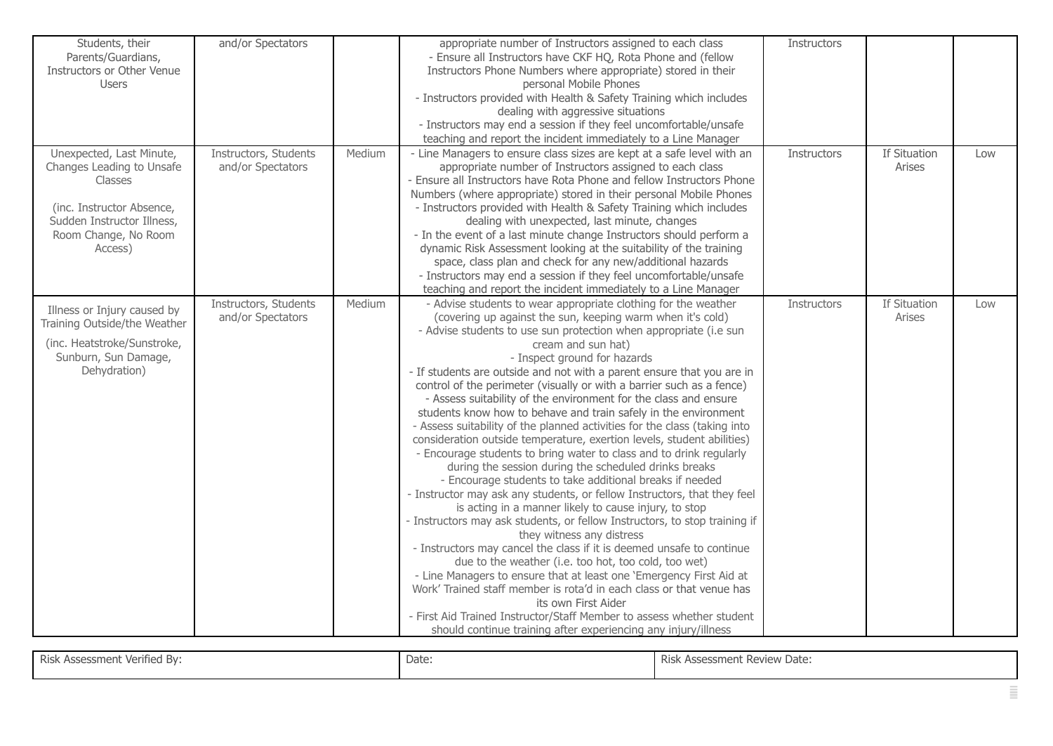| Students, their<br>Parents/Guardians,<br>Instructors or Other Venue<br><b>Users</b>                                                                            | and/or Spectators                          |        | appropriate number of Instructors assigned to each class<br>- Ensure all Instructors have CKF HQ, Rota Phone and (fellow<br>Instructors Phone Numbers where appropriate) stored in their<br>personal Mobile Phones<br>- Instructors provided with Health & Safety Training which includes<br>dealing with aggressive situations<br>- Instructors may end a session if they feel uncomfortable/unsafe<br>teaching and report the incident immediately to a Line Manager                                                                                                                                                                                                                                                                                                                                                                                                                                                                                                                                                                                                                                                                                                                                                                                                                                                                                                                                                                                                                                                                                                                                 | Instructors |                        |     |
|----------------------------------------------------------------------------------------------------------------------------------------------------------------|--------------------------------------------|--------|--------------------------------------------------------------------------------------------------------------------------------------------------------------------------------------------------------------------------------------------------------------------------------------------------------------------------------------------------------------------------------------------------------------------------------------------------------------------------------------------------------------------------------------------------------------------------------------------------------------------------------------------------------------------------------------------------------------------------------------------------------------------------------------------------------------------------------------------------------------------------------------------------------------------------------------------------------------------------------------------------------------------------------------------------------------------------------------------------------------------------------------------------------------------------------------------------------------------------------------------------------------------------------------------------------------------------------------------------------------------------------------------------------------------------------------------------------------------------------------------------------------------------------------------------------------------------------------------------------|-------------|------------------------|-----|
| Unexpected, Last Minute,<br>Changes Leading to Unsafe<br>Classes<br>(inc. Instructor Absence,<br>Sudden Instructor Illness,<br>Room Change, No Room<br>Access) | Instructors, Students<br>and/or Spectators | Medium | - Line Managers to ensure class sizes are kept at a safe level with an<br>appropriate number of Instructors assigned to each class<br>- Ensure all Instructors have Rota Phone and fellow Instructors Phone<br>Numbers (where appropriate) stored in their personal Mobile Phones<br>- Instructors provided with Health & Safety Training which includes<br>dealing with unexpected, last minute, changes<br>- In the event of a last minute change Instructors should perform a<br>dynamic Risk Assessment looking at the suitability of the training<br>space, class plan and check for any new/additional hazards<br>- Instructors may end a session if they feel uncomfortable/unsafe<br>teaching and report the incident immediately to a Line Manager                                                                                                                                                                                                                                                                                                                                                                                                                                                                                                                                                                                                                                                                                                                                                                                                                                            | Instructors | If Situation<br>Arises | Low |
| Illness or Injury caused by<br>Training Outside/the Weather<br>(inc. Heatstroke/Sunstroke,<br>Sunburn, Sun Damage,<br>Dehydration)                             | Instructors, Students<br>and/or Spectators | Medium | - Advise students to wear appropriate clothing for the weather<br>(covering up against the sun, keeping warm when it's cold)<br>- Advise students to use sun protection when appropriate (i.e sun<br>cream and sun hat)<br>- Inspect ground for hazards<br>- If students are outside and not with a parent ensure that you are in<br>control of the perimeter (visually or with a barrier such as a fence)<br>- Assess suitability of the environment for the class and ensure<br>students know how to behave and train safely in the environment<br>- Assess suitability of the planned activities for the class (taking into<br>consideration outside temperature, exertion levels, student abilities)<br>- Encourage students to bring water to class and to drink regularly<br>during the session during the scheduled drinks breaks<br>- Encourage students to take additional breaks if needed<br>- Instructor may ask any students, or fellow Instructors, that they feel<br>is acting in a manner likely to cause injury, to stop<br>- Instructors may ask students, or fellow Instructors, to stop training if<br>they witness any distress<br>- Instructors may cancel the class if it is deemed unsafe to continue<br>due to the weather (i.e. too hot, too cold, too wet)<br>- Line Managers to ensure that at least one 'Emergency First Aid at<br>Work' Trained staff member is rota'd in each class or that venue has<br>its own First Aider<br>- First Aid Trained Instructor/Staff Member to assess whether student<br>should continue training after experiencing any injury/illness | Instructors | If Situation<br>Arises | Low |

| Risk Assessment Verified By: | Date: | Risk Assessment Review Date: |
|------------------------------|-------|------------------------------|
|                              |       |                              |